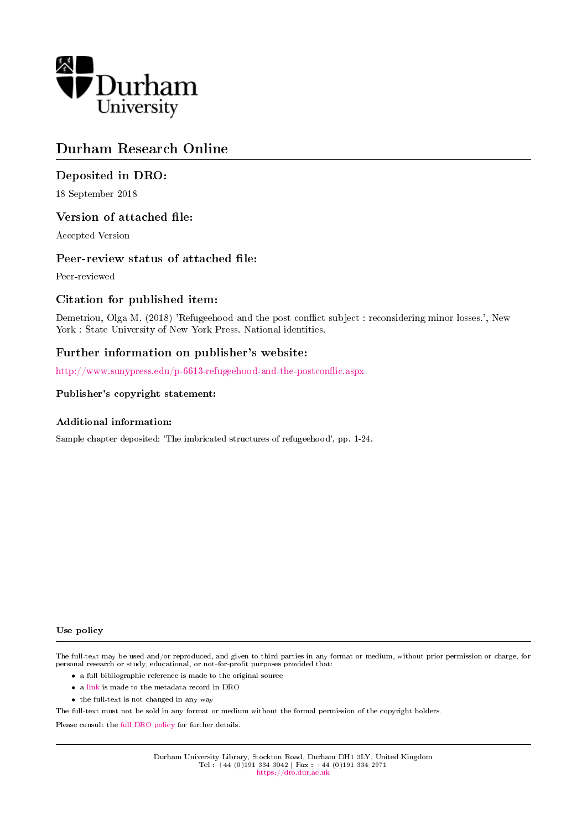

# Durham Research Online

# Deposited in DRO:

18 September 2018

# Version of attached file:

Accepted Version

# Peer-review status of attached file:

Peer-reviewed

# Citation for published item:

Demetriou, Olga M. (2018) 'Refugeehood and the post conflict subject : reconsidering minor losses.', New York : State University of New York Press. National identities.

# Further information on publisher's website:

http://www.sunypress.edu/p-6613-refugeehood-and-the-postconflic.aspx

#### Publisher's copyright statement:

#### Additional information:

Sample chapter deposited: 'The imbricated structures of refugeehood', pp. 1-24.

#### Use policy

The full-text may be used and/or reproduced, and given to third parties in any format or medium, without prior permission or charge, for personal research or study, educational, or not-for-profit purposes provided that:

- a full bibliographic reference is made to the original source
- a [link](http://dro.dur.ac.uk/26230/) is made to the metadata record in DRO
- the full-text is not changed in any way

The full-text must not be sold in any format or medium without the formal permission of the copyright holders.

Please consult the [full DRO policy](https://dro.dur.ac.uk/policies/usepolicy.pdf) for further details.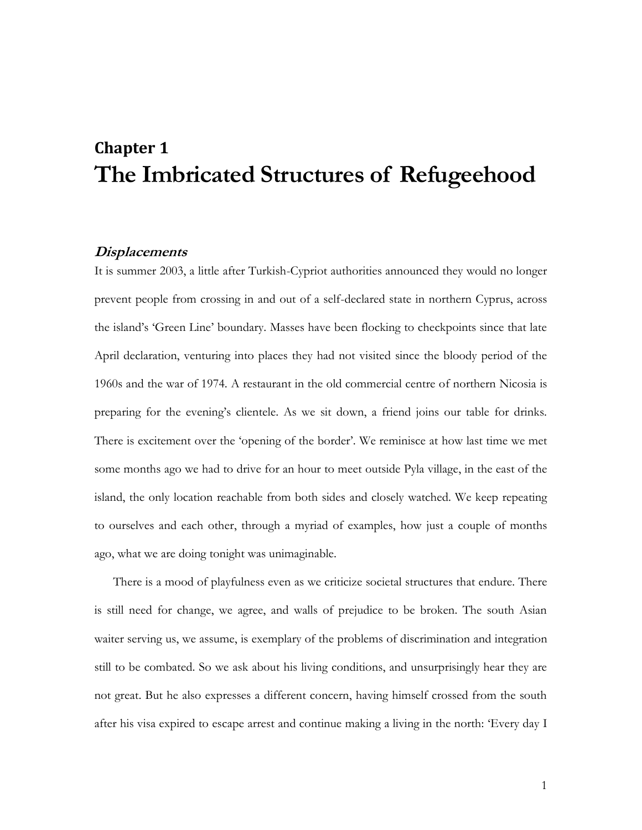# **Chapter 1 The Imbricated Structures of Refugeehood**

## **Displacements**

It is summer 2003, a little after Turkish-Cypriot authorities announced they would no longer prevent people from crossing in and out of a self-declared state in northern Cyprus, across the island's 'Green Line' boundary. Masses have been flocking to checkpoints since that late April declaration, venturing into places they had not visited since the bloody period of the 1960s and the war of 1974. A restaurant in the old commercial centre of northern Nicosia is preparing for the evening's clientele. As we sit down, a friend joins our table for drinks. There is excitement over the 'opening of the border'. We reminisce at how last time we met some months ago we had to drive for an hour to meet outside Pyla village, in the east of the island, the only location reachable from both sides and closely watched. We keep repeating to ourselves and each other, through a myriad of examples, how just a couple of months ago, what we are doing tonight was unimaginable.

There is a mood of playfulness even as we criticize societal structures that endure. There is still need for change, we agree, and walls of prejudice to be broken. The south Asian waiter serving us, we assume, is exemplary of the problems of discrimination and integration still to be combated. So we ask about his living conditions, and unsurprisingly hear they are not great. But he also expresses a different concern, having himself crossed from the south after his visa expired to escape arrest and continue making a living in the north: 'Every day I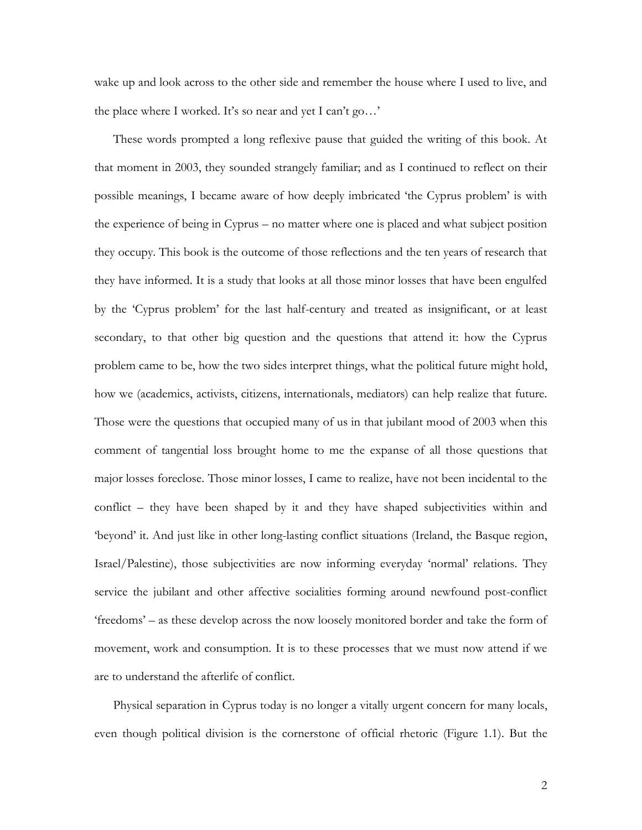wake up and look across to the other side and remember the house where I used to live, and the place where I worked. It's so near and yet I can't go…'

These words prompted a long reflexive pause that guided the writing of this book. At that moment in 2003, they sounded strangely familiar; and as I continued to reflect on their possible meanings, I became aware of how deeply imbricated 'the Cyprus problem' is with the experience of being in Cyprus – no matter where one is placed and what subject position they occupy. This book is the outcome of those reflections and the ten years of research that they have informed. It is a study that looks at all those minor losses that have been engulfed by the 'Cyprus problem' for the last half-century and treated as insignificant, or at least secondary, to that other big question and the questions that attend it: how the Cyprus problem came to be, how the two sides interpret things, what the political future might hold, how we (academics, activists, citizens, internationals, mediators) can help realize that future. Those were the questions that occupied many of us in that jubilant mood of 2003 when this comment of tangential loss brought home to me the expanse of all those questions that major losses foreclose. Those minor losses, I came to realize, have not been incidental to the conflict – they have been shaped by it and they have shaped subjectivities within and 'beyond' it. And just like in other long-lasting conflict situations (Ireland, the Basque region, Israel/Palestine), those subjectivities are now informing everyday 'normal' relations. They service the jubilant and other affective socialities forming around newfound post-conflict 'freedoms' – as these develop across the now loosely monitored border and take the form of movement, work and consumption. It is to these processes that we must now attend if we are to understand the afterlife of conflict.

Physical separation in Cyprus today is no longer a vitally urgent concern for many locals, even though political division is the cornerstone of official rhetoric (Figure 1.1). But the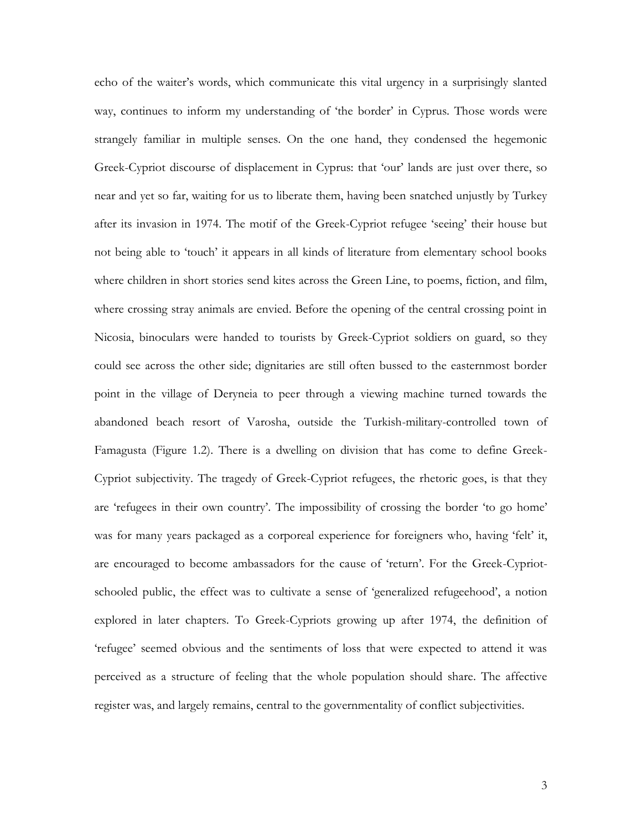echo of the waiter's words, which communicate this vital urgency in a surprisingly slanted way, continues to inform my understanding of 'the border' in Cyprus. Those words were strangely familiar in multiple senses. On the one hand, they condensed the hegemonic Greek-Cypriot discourse of displacement in Cyprus: that 'our' lands are just over there, so near and yet so far, waiting for us to liberate them, having been snatched unjustly by Turkey after its invasion in 1974. The motif of the Greek-Cypriot refugee 'seeing' their house but not being able to 'touch' it appears in all kinds of literature from elementary school books where children in short stories send kites across the Green Line, to poems, fiction, and film, where crossing stray animals are envied. Before the opening of the central crossing point in Nicosia, binoculars were handed to tourists by Greek-Cypriot soldiers on guard, so they could see across the other side; dignitaries are still often bussed to the easternmost border point in the village of Deryneia to peer through a viewing machine turned towards the abandoned beach resort of Varosha, outside the Turkish-military-controlled town of Famagusta (Figure 1.2). There is a dwelling on division that has come to define Greek-Cypriot subjectivity. The tragedy of Greek-Cypriot refugees, the rhetoric goes, is that they are 'refugees in their own country'. The impossibility of crossing the border 'to go home' was for many years packaged as a corporeal experience for foreigners who, having 'felt' it, are encouraged to become ambassadors for the cause of 'return'. For the Greek-Cypriotschooled public, the effect was to cultivate a sense of 'generalized refugeehood', a notion explored in later chapters. To Greek-Cypriots growing up after 1974, the definition of 'refugee' seemed obvious and the sentiments of loss that were expected to attend it was perceived as a structure of feeling that the whole population should share. The affective register was, and largely remains, central to the governmentality of conflict subjectivities.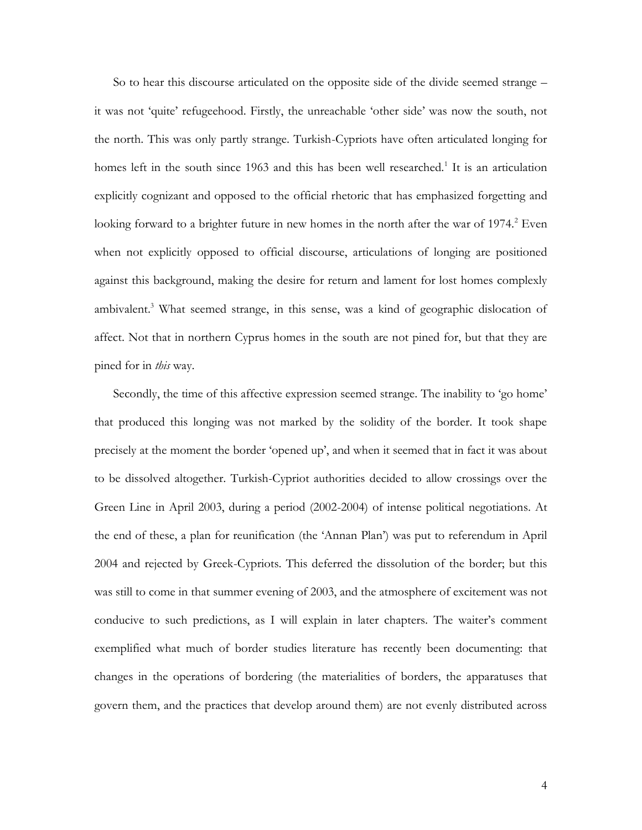So to hear this discourse articulated on the opposite side of the divide seemed strange – it was not 'quite' refugeehood. Firstly, the unreachable 'other side' was now the south, not the north. This was only partly strange. Turkish-Cypriots have often articulated longing for homes left in the south since 1963 and this has been well researched.<sup>1</sup> It is an articulation explicitly cognizant and opposed to the official rhetoric that has emphasized forgetting and looking forward to a brighter future in new homes in the north after the war of  $1974$ <sup>2</sup> Even when not explicitly opposed to official discourse, articulations of longing are positioned against this background, making the desire for return and lament for lost homes complexly ambivalent.<sup>3</sup> What seemed strange, in this sense, was a kind of geographic dislocation of affect. Not that in northern Cyprus homes in the south are not pined for, but that they are pined for in *this* way.

Secondly, the time of this affective expression seemed strange. The inability to 'go home' that produced this longing was not marked by the solidity of the border. It took shape precisely at the moment the border 'opened up', and when it seemed that in fact it was about to be dissolved altogether. Turkish-Cypriot authorities decided to allow crossings over the Green Line in April 2003, during a period (2002-2004) of intense political negotiations. At the end of these, a plan for reunification (the 'Annan Plan') was put to referendum in April 2004 and rejected by Greek-Cypriots. This deferred the dissolution of the border; but this was still to come in that summer evening of 2003, and the atmosphere of excitement was not conducive to such predictions, as I will explain in later chapters. The waiter's comment exemplified what much of border studies literature has recently been documenting: that changes in the operations of bordering (the materialities of borders, the apparatuses that govern them, and the practices that develop around them) are not evenly distributed across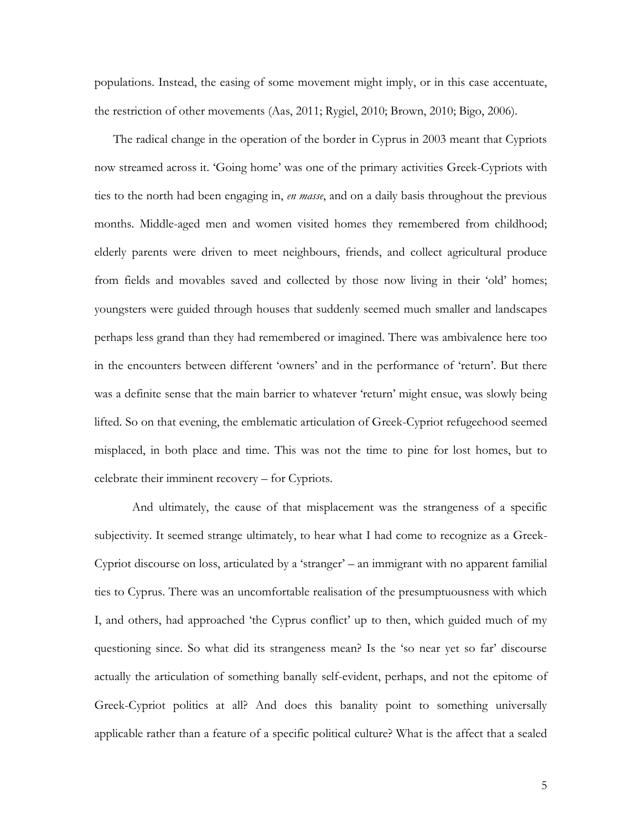populations. Instead, the easing of some movement might imply, or in this case accentuate, the restriction of other movements (Aas, 2011; Rygiel, 2010; Brown, 2010; Bigo, 2006).

The radical change in the operation of the border in Cyprus in 2003 meant that Cypriots now streamed across it. 'Going home' was one of the primary activities Greek-Cypriots with ties to the north had been engaging in, *en masse*, and on a daily basis throughout the previous months. Middle-aged men and women visited homes they remembered from childhood; elderly parents were driven to meet neighbours, friends, and collect agricultural produce from fields and movables saved and collected by those now living in their 'old' homes; youngsters were guided through houses that suddenly seemed much smaller and landscapes perhaps less grand than they had remembered or imagined. There was ambivalence here too in the encounters between different 'owners' and in the performance of 'return'. But there was a definite sense that the main barrier to whatever 'return' might ensue, was slowly being lifted. So on that evening, the emblematic articulation of Greek-Cypriot refugeehood seemed misplaced, in both place and time. This was not the time to pine for lost homes, but to celebrate their imminent recovery – for Cypriots.

And ultimately, the cause of that misplacement was the strangeness of a specific subjectivity. It seemed strange ultimately, to hear what I had come to recognize as a Greek-Cypriot discourse on loss, articulated by a 'stranger' – an immigrant with no apparent familial ties to Cyprus. There was an uncomfortable realisation of the presumptuousness with which I, and others, had approached 'the Cyprus conflict' up to then, which guided much of my questioning since. So what did its strangeness mean? Is the 'so near yet so far' discourse actually the articulation of something banally self-evident, perhaps, and not the epitome of Greek-Cypriot politics at all? And does this banality point to something universally applicable rather than a feature of a specific political culture? What is the affect that a sealed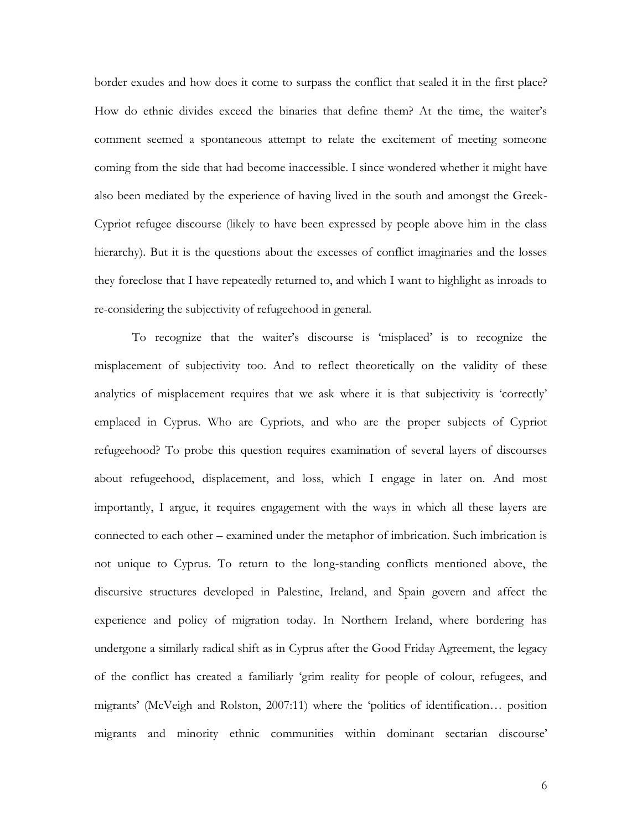border exudes and how does it come to surpass the conflict that sealed it in the first place? How do ethnic divides exceed the binaries that define them? At the time, the waiter's comment seemed a spontaneous attempt to relate the excitement of meeting someone coming from the side that had become inaccessible. I since wondered whether it might have also been mediated by the experience of having lived in the south and amongst the Greek-Cypriot refugee discourse (likely to have been expressed by people above him in the class hierarchy). But it is the questions about the excesses of conflict imaginaries and the losses they foreclose that I have repeatedly returned to, and which I want to highlight as inroads to re-considering the subjectivity of refugeehood in general.

To recognize that the waiter's discourse is 'misplaced' is to recognize the misplacement of subjectivity too. And to reflect theoretically on the validity of these analytics of misplacement requires that we ask where it is that subjectivity is 'correctly' emplaced in Cyprus. Who are Cypriots, and who are the proper subjects of Cypriot refugeehood? To probe this question requires examination of several layers of discourses about refugeehood, displacement, and loss, which I engage in later on. And most importantly, I argue, it requires engagement with the ways in which all these layers are connected to each other – examined under the metaphor of imbrication. Such imbrication is not unique to Cyprus. To return to the long-standing conflicts mentioned above, the discursive structures developed in Palestine, Ireland, and Spain govern and affect the experience and policy of migration today. In Northern Ireland, where bordering has undergone a similarly radical shift as in Cyprus after the Good Friday Agreement, the legacy of the conflict has created a familiarly 'grim reality for people of colour, refugees, and migrants' (McVeigh and Rolston, 2007:11) where the 'politics of identification… position migrants and minority ethnic communities within dominant sectarian discourse'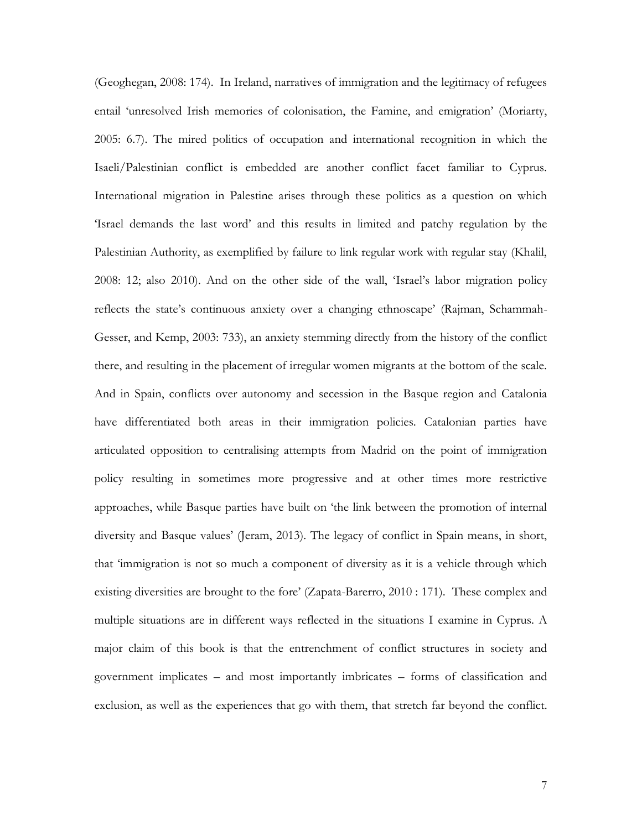(Geoghegan, 2008: 174). In Ireland, narratives of immigration and the legitimacy of refugees entail 'unresolved Irish memories of colonisation, the Famine, and emigration' (Moriarty, 2005: 6.7). The mired politics of occupation and international recognition in which the Isaeli/Palestinian conflict is embedded are another conflict facet familiar to Cyprus. International migration in Palestine arises through these politics as a question on which 'Israel demands the last word' and this results in limited and patchy regulation by the Palestinian Authority, as exemplified by failure to link regular work with regular stay (Khalil, 2008: 12; also 2010). And on the other side of the wall, 'Israel's labor migration policy reflects the state's continuous anxiety over a changing ethnoscape' (Rajman, Schammah-Gesser, and Kemp, 2003: 733), an anxiety stemming directly from the history of the conflict there, and resulting in the placement of irregular women migrants at the bottom of the scale. And in Spain, conflicts over autonomy and secession in the Basque region and Catalonia have differentiated both areas in their immigration policies. Catalonian parties have articulated opposition to centralising attempts from Madrid on the point of immigration policy resulting in sometimes more progressive and at other times more restrictive approaches, while Basque parties have built on 'the link between the promotion of internal diversity and Basque values' (Jeram, 2013). The legacy of conflict in Spain means, in short, that 'immigration is not so much a component of diversity as it is a vehicle through which existing diversities are brought to the fore' (Zapata-Barerro, 2010 : 171). These complex and multiple situations are in different ways reflected in the situations I examine in Cyprus. A major claim of this book is that the entrenchment of conflict structures in society and government implicates – and most importantly imbricates – forms of classification and exclusion, as well as the experiences that go with them, that stretch far beyond the conflict.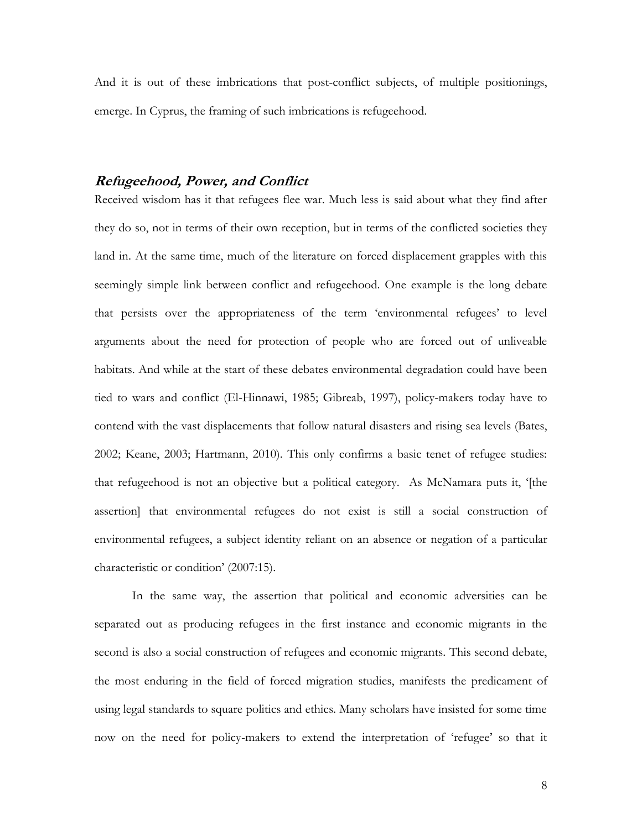And it is out of these imbrications that post-conflict subjects, of multiple positionings, emerge. In Cyprus, the framing of such imbrications is refugeehood.

# **Refugeehood, Power, and Conflict**

Received wisdom has it that refugees flee war. Much less is said about what they find after they do so, not in terms of their own reception, but in terms of the conflicted societies they land in. At the same time, much of the literature on forced displacement grapples with this seemingly simple link between conflict and refugeehood. One example is the long debate that persists over the appropriateness of the term 'environmental refugees' to level arguments about the need for protection of people who are forced out of unliveable habitats. And while at the start of these debates environmental degradation could have been tied to wars and conflict (El-Hinnawi, 1985; Gibreab, 1997), policy-makers today have to contend with the vast displacements that follow natural disasters and rising sea levels (Bates, 2002; Keane, 2003; Hartmann, 2010). This only confirms a basic tenet of refugee studies: that refugeehood is not an objective but a political category. As McNamara puts it, '[the assertion] that environmental refugees do not exist is still a social construction of environmental refugees, a subject identity reliant on an absence or negation of a particular characteristic or condition' (2007:15).

In the same way, the assertion that political and economic adversities can be separated out as producing refugees in the first instance and economic migrants in the second is also a social construction of refugees and economic migrants. This second debate, the most enduring in the field of forced migration studies, manifests the predicament of using legal standards to square politics and ethics. Many scholars have insisted for some time now on the need for policy-makers to extend the interpretation of 'refugee' so that it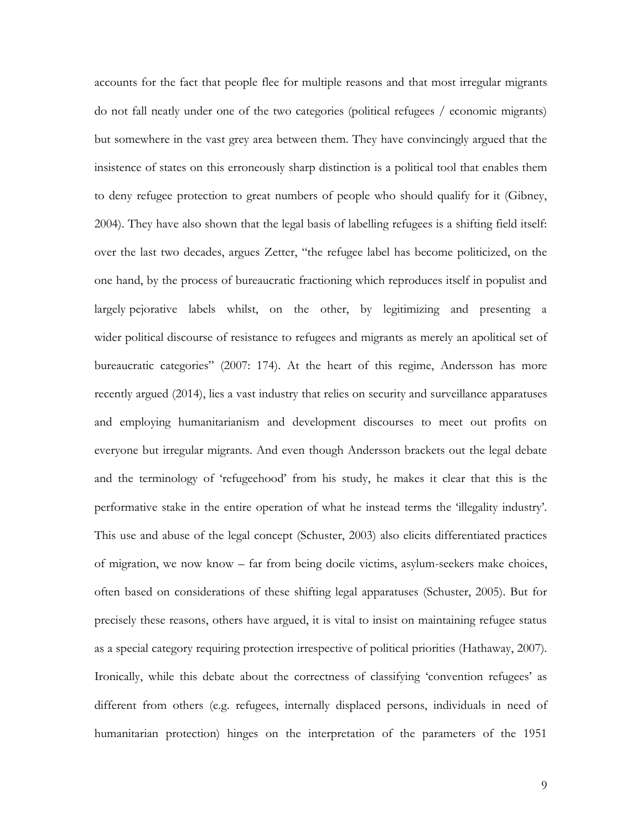accounts for the fact that people flee for multiple reasons and that most irregular migrants do not fall neatly under one of the two categories (political refugees / economic migrants) but somewhere in the vast grey area between them. They have convincingly argued that the insistence of states on this erroneously sharp distinction is a political tool that enables them to deny refugee protection to great numbers of people who should qualify for it (Gibney, 2004). They have also shown that the legal basis of labelling refugees is a shifting field itself: over the last two decades, argues Zetter, "the refugee label has become politicized, on the one hand, by the process of bureaucratic fractioning which reproduces itself in populist and largely pejorative labels whilst, on the other, by legitimizing and presenting a wider political discourse of resistance to refugees and migrants as merely an apolitical set of bureaucratic categories" (2007: 174). At the heart of this regime, Andersson has more recently argued (2014), lies a vast industry that relies on security and surveillance apparatuses and employing humanitarianism and development discourses to meet out profits on everyone but irregular migrants. And even though Andersson brackets out the legal debate and the terminology of 'refugeehood' from his study, he makes it clear that this is the performative stake in the entire operation of what he instead terms the 'illegality industry'. This use and abuse of the legal concept (Schuster, 2003) also elicits differentiated practices of migration, we now know – far from being docile victims, asylum-seekers make choices, often based on considerations of these shifting legal apparatuses (Schuster, 2005). But for precisely these reasons, others have argued, it is vital to insist on maintaining refugee status as a special category requiring protection irrespective of political priorities (Hathaway, 2007). Ironically, while this debate about the correctness of classifying 'convention refugees' as different from others (e.g. refugees, internally displaced persons, individuals in need of humanitarian protection) hinges on the interpretation of the parameters of the 1951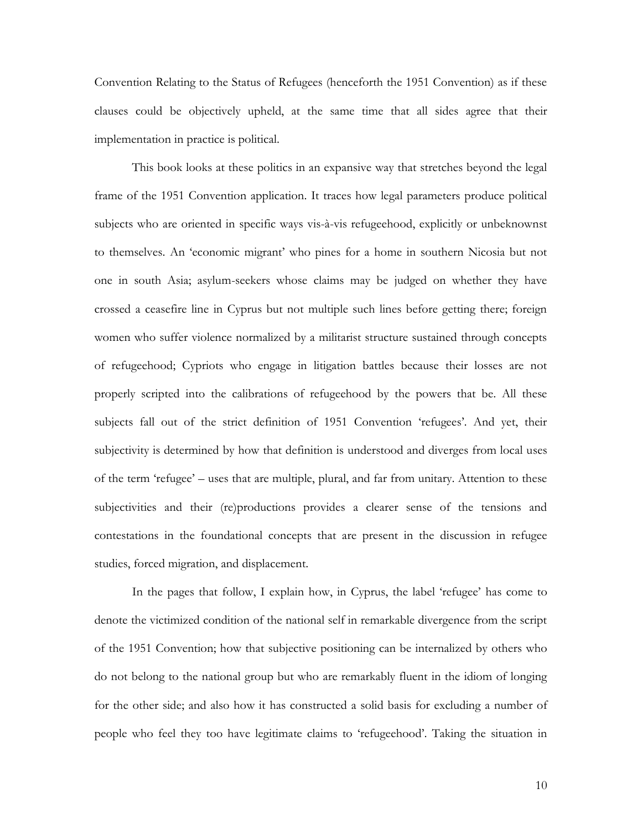Convention Relating to the Status of Refugees (henceforth the 1951 Convention) as if these clauses could be objectively upheld, at the same time that all sides agree that their implementation in practice is political.

This book looks at these politics in an expansive way that stretches beyond the legal frame of the 1951 Convention application. It traces how legal parameters produce political subjects who are oriented in specific ways vis-à-vis refugeehood, explicitly or unbeknownst to themselves. An 'economic migrant' who pines for a home in southern Nicosia but not one in south Asia; asylum-seekers whose claims may be judged on whether they have crossed a ceasefire line in Cyprus but not multiple such lines before getting there; foreign women who suffer violence normalized by a militarist structure sustained through concepts of refugeehood; Cypriots who engage in litigation battles because their losses are not properly scripted into the calibrations of refugeehood by the powers that be. All these subjects fall out of the strict definition of 1951 Convention 'refugees'. And yet, their subjectivity is determined by how that definition is understood and diverges from local uses of the term 'refugee' – uses that are multiple, plural, and far from unitary. Attention to these subjectivities and their (re)productions provides a clearer sense of the tensions and contestations in the foundational concepts that are present in the discussion in refugee studies, forced migration, and displacement.

In the pages that follow, I explain how, in Cyprus, the label 'refugee' has come to denote the victimized condition of the national self in remarkable divergence from the script of the 1951 Convention; how that subjective positioning can be internalized by others who do not belong to the national group but who are remarkably fluent in the idiom of longing for the other side; and also how it has constructed a solid basis for excluding a number of people who feel they too have legitimate claims to 'refugeehood'. Taking the situation in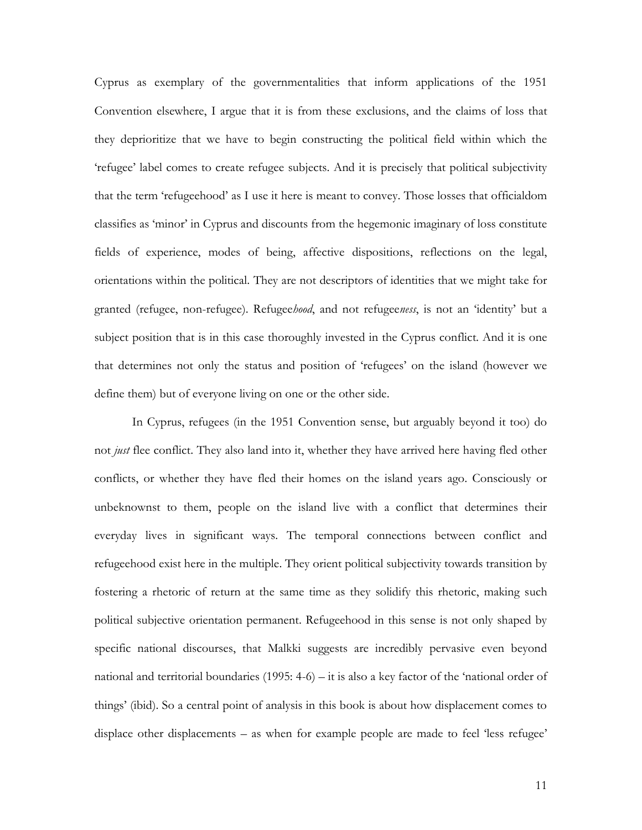Cyprus as exemplary of the governmentalities that inform applications of the 1951 Convention elsewhere, I argue that it is from these exclusions, and the claims of loss that they deprioritize that we have to begin constructing the political field within which the 'refugee' label comes to create refugee subjects. And it is precisely that political subjectivity that the term 'refugeehood' as I use it here is meant to convey. Those losses that officialdom classifies as 'minor' in Cyprus and discounts from the hegemonic imaginary of loss constitute fields of experience, modes of being, affective dispositions, reflections on the legal, orientations within the political. They are not descriptors of identities that we might take for granted (refugee, non-refugee). Refugee*hood*, and not refugee*ness*, is not an 'identity' but a subject position that is in this case thoroughly invested in the Cyprus conflict. And it is one that determines not only the status and position of 'refugees' on the island (however we define them) but of everyone living on one or the other side.

In Cyprus, refugees (in the 1951 Convention sense, but arguably beyond it too) do not *just* flee conflict. They also land into it, whether they have arrived here having fled other conflicts, or whether they have fled their homes on the island years ago. Consciously or unbeknownst to them, people on the island live with a conflict that determines their everyday lives in significant ways. The temporal connections between conflict and refugeehood exist here in the multiple. They orient political subjectivity towards transition by fostering a rhetoric of return at the same time as they solidify this rhetoric, making such political subjective orientation permanent. Refugeehood in this sense is not only shaped by specific national discourses, that Malkki suggests are incredibly pervasive even beyond national and territorial boundaries (1995: 4-6) – it is also a key factor of the 'national order of things' (ibid). So a central point of analysis in this book is about how displacement comes to displace other displacements – as when for example people are made to feel 'less refugee'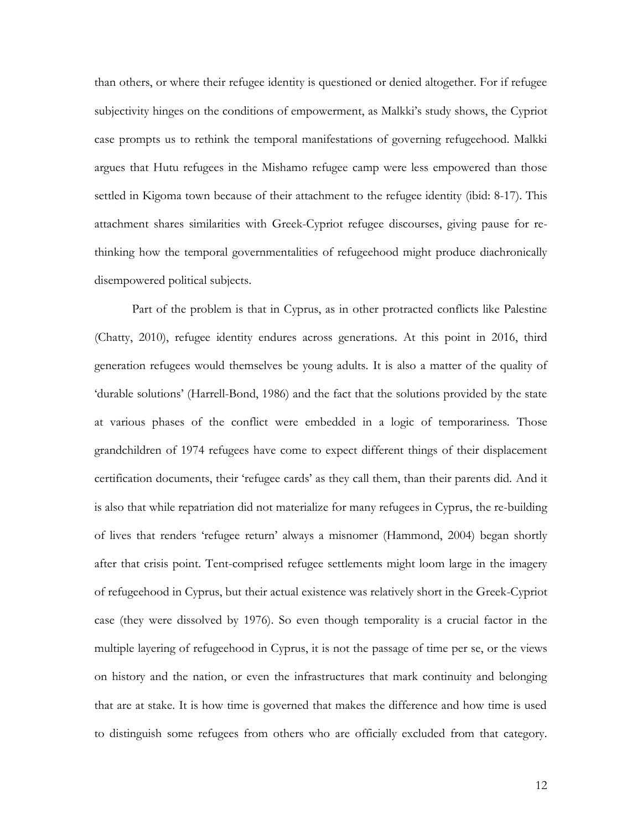than others, or where their refugee identity is questioned or denied altogether. For if refugee subjectivity hinges on the conditions of empowerment, as Malkki's study shows, the Cypriot case prompts us to rethink the temporal manifestations of governing refugeehood. Malkki argues that Hutu refugees in the Mishamo refugee camp were less empowered than those settled in Kigoma town because of their attachment to the refugee identity (ibid: 8-17). This attachment shares similarities with Greek-Cypriot refugee discourses, giving pause for rethinking how the temporal governmentalities of refugeehood might produce diachronically disempowered political subjects.

Part of the problem is that in Cyprus, as in other protracted conflicts like Palestine (Chatty, 2010), refugee identity endures across generations. At this point in 2016, third generation refugees would themselves be young adults. It is also a matter of the quality of 'durable solutions' (Harrell-Bond, 1986) and the fact that the solutions provided by the state at various phases of the conflict were embedded in a logic of temporariness. Those grandchildren of 1974 refugees have come to expect different things of their displacement certification documents, their 'refugee cards' as they call them, than their parents did. And it is also that while repatriation did not materialize for many refugees in Cyprus, the re-building of lives that renders 'refugee return' always a misnomer (Hammond, 2004) began shortly after that crisis point. Tent-comprised refugee settlements might loom large in the imagery of refugeehood in Cyprus, but their actual existence was relatively short in the Greek-Cypriot case (they were dissolved by 1976). So even though temporality is a crucial factor in the multiple layering of refugeehood in Cyprus, it is not the passage of time per se, or the views on history and the nation, or even the infrastructures that mark continuity and belonging that are at stake. It is how time is governed that makes the difference and how time is used to distinguish some refugees from others who are officially excluded from that category.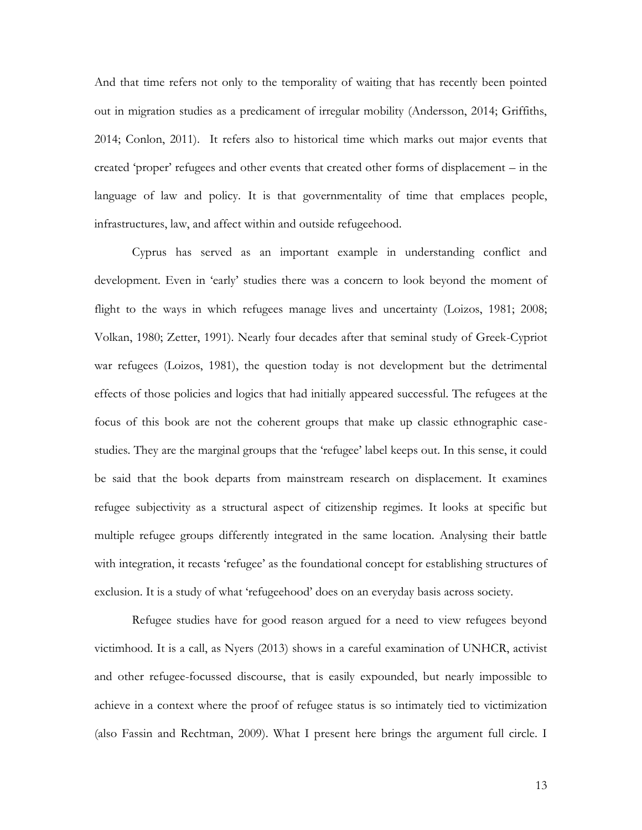And that time refers not only to the temporality of waiting that has recently been pointed out in migration studies as a predicament of irregular mobility (Andersson, 2014; Griffiths, 2014; Conlon, 2011). It refers also to historical time which marks out major events that created 'proper' refugees and other events that created other forms of displacement – in the language of law and policy. It is that governmentality of time that emplaces people, infrastructures, law, and affect within and outside refugeehood.

Cyprus has served as an important example in understanding conflict and development. Even in 'early' studies there was a concern to look beyond the moment of flight to the ways in which refugees manage lives and uncertainty (Loizos, 1981; 2008; Volkan, 1980; Zetter, 1991). Nearly four decades after that seminal study of Greek-Cypriot war refugees (Loizos, 1981), the question today is not development but the detrimental effects of those policies and logics that had initially appeared successful. The refugees at the focus of this book are not the coherent groups that make up classic ethnographic casestudies. They are the marginal groups that the 'refugee' label keeps out. In this sense, it could be said that the book departs from mainstream research on displacement. It examines refugee subjectivity as a structural aspect of citizenship regimes. It looks at specific but multiple refugee groups differently integrated in the same location. Analysing their battle with integration, it recasts 'refugee' as the foundational concept for establishing structures of exclusion. It is a study of what 'refugeehood' does on an everyday basis across society.

Refugee studies have for good reason argued for a need to view refugees beyond victimhood. It is a call, as Nyers (2013) shows in a careful examination of UNHCR, activist and other refugee-focussed discourse, that is easily expounded, but nearly impossible to achieve in a context where the proof of refugee status is so intimately tied to victimization (also Fassin and Rechtman, 2009). What I present here brings the argument full circle. I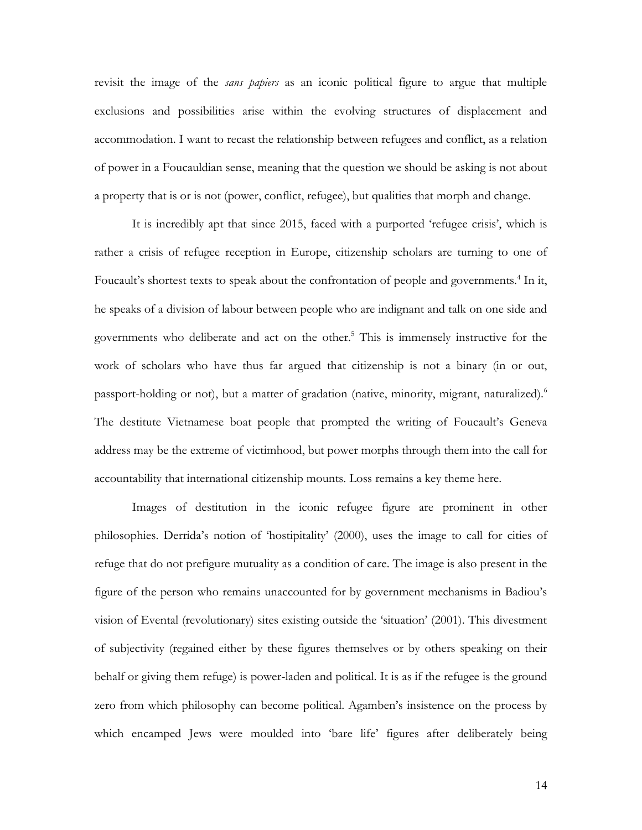revisit the image of the *sans papiers* as an iconic political figure to argue that multiple exclusions and possibilities arise within the evolving structures of displacement and accommodation. I want to recast the relationship between refugees and conflict, as a relation of power in a Foucauldian sense, meaning that the question we should be asking is not about a property that is or is not (power, conflict, refugee), but qualities that morph and change.

It is incredibly apt that since 2015, faced with a purported 'refugee crisis', which is rather a crisis of refugee reception in Europe, citizenship scholars are turning to one of Foucault's shortest texts to speak about the confrontation of people and governments.<sup>4</sup> In it, he speaks of a division of labour between people who are indignant and talk on one side and governments who deliberate and act on the other. <sup>5</sup> This is immensely instructive for the work of scholars who have thus far argued that citizenship is not a binary (in or out, passport-holding or not), but a matter of gradation (native, minority, migrant, naturalized).<sup>6</sup> The destitute Vietnamese boat people that prompted the writing of Foucault's Geneva address may be the extreme of victimhood, but power morphs through them into the call for accountability that international citizenship mounts. Loss remains a key theme here.

Images of destitution in the iconic refugee figure are prominent in other philosophies. Derrida's notion of 'hostipitality' (2000), uses the image to call for cities of refuge that do not prefigure mutuality as a condition of care. The image is also present in the figure of the person who remains unaccounted for by government mechanisms in Badiou's vision of Evental (revolutionary) sites existing outside the 'situation' (2001). This divestment of subjectivity (regained either by these figures themselves or by others speaking on their behalf or giving them refuge) is power-laden and political. It is as if the refugee is the ground zero from which philosophy can become political. Agamben's insistence on the process by which encamped Jews were moulded into 'bare life' figures after deliberately being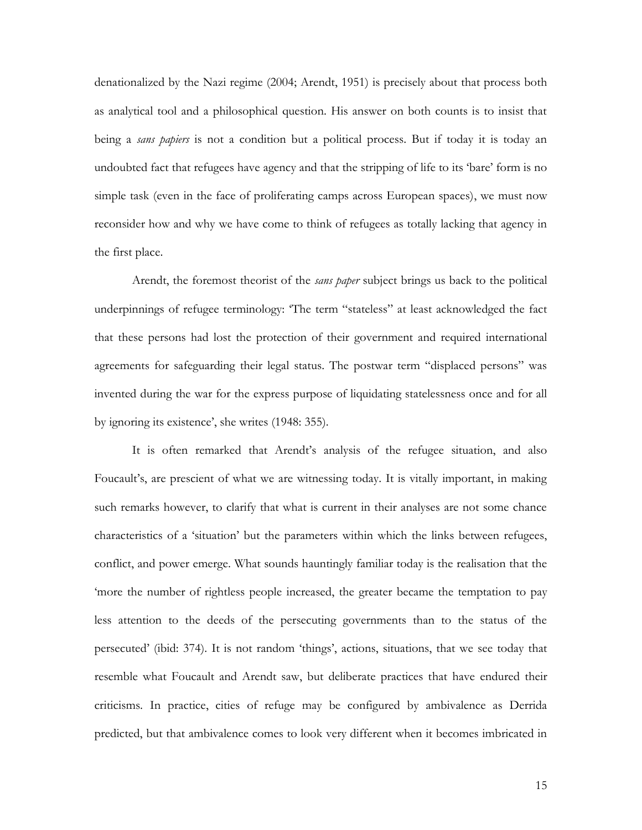denationalized by the Nazi regime (2004; Arendt, 1951) is precisely about that process both as analytical tool and a philosophical question. His answer on both counts is to insist that being a *sans papiers* is not a condition but a political process. But if today it is today an undoubted fact that refugees have agency and that the stripping of life to its 'bare' form is no simple task (even in the face of proliferating camps across European spaces), we must now reconsider how and why we have come to think of refugees as totally lacking that agency in the first place.

Arendt, the foremost theorist of the *sans paper* subject brings us back to the political underpinnings of refugee terminology: 'The term "stateless" at least acknowledged the fact that these persons had lost the protection of their government and required international agreements for safeguarding their legal status. The postwar term "displaced persons" was invented during the war for the express purpose of liquidating statelessness once and for all by ignoring its existence', she writes (1948: 355).

It is often remarked that Arendt's analysis of the refugee situation, and also Foucault's, are prescient of what we are witnessing today. It is vitally important, in making such remarks however, to clarify that what is current in their analyses are not some chance characteristics of a 'situation' but the parameters within which the links between refugees, conflict, and power emerge. What sounds hauntingly familiar today is the realisation that the 'more the number of rightless people increased, the greater became the temptation to pay less attention to the deeds of the persecuting governments than to the status of the persecuted' (ibid: 374). It is not random 'things', actions, situations, that we see today that resemble what Foucault and Arendt saw, but deliberate practices that have endured their criticisms. In practice, cities of refuge may be configured by ambivalence as Derrida predicted, but that ambivalence comes to look very different when it becomes imbricated in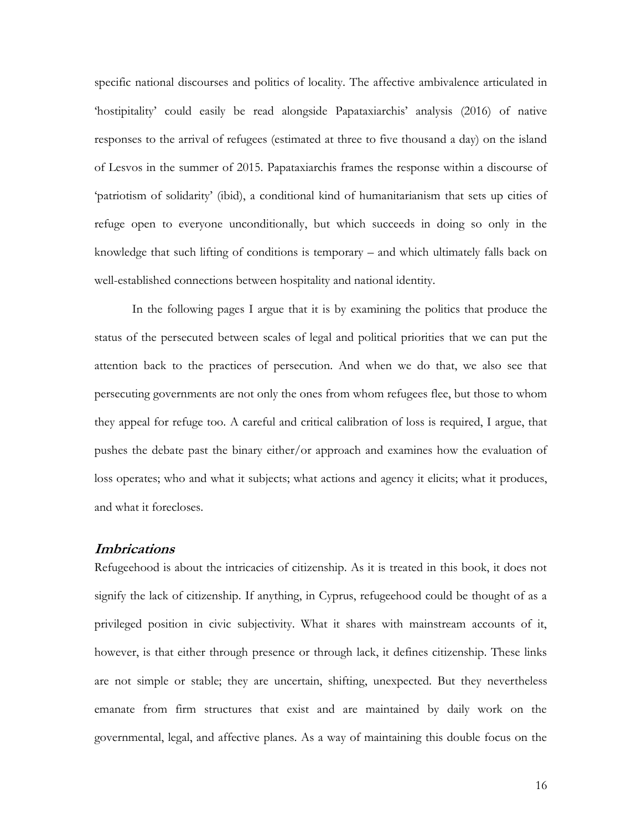specific national discourses and politics of locality. The affective ambivalence articulated in 'hostipitality' could easily be read alongside Papataxiarchis' analysis (2016) of native responses to the arrival of refugees (estimated at three to five thousand a day) on the island of Lesvos in the summer of 2015. Papataxiarchis frames the response within a discourse of 'patriotism of solidarity' (ibid), a conditional kind of humanitarianism that sets up cities of refuge open to everyone unconditionally, but which succeeds in doing so only in the knowledge that such lifting of conditions is temporary – and which ultimately falls back on well-established connections between hospitality and national identity.

In the following pages I argue that it is by examining the politics that produce the status of the persecuted between scales of legal and political priorities that we can put the attention back to the practices of persecution. And when we do that, we also see that persecuting governments are not only the ones from whom refugees flee, but those to whom they appeal for refuge too. A careful and critical calibration of loss is required, I argue, that pushes the debate past the binary either/or approach and examines how the evaluation of loss operates; who and what it subjects; what actions and agency it elicits; what it produces, and what it forecloses.

# **Imbrications**

Refugeehood is about the intricacies of citizenship. As it is treated in this book, it does not signify the lack of citizenship. If anything, in Cyprus, refugeehood could be thought of as a privileged position in civic subjectivity. What it shares with mainstream accounts of it, however, is that either through presence or through lack, it defines citizenship. These links are not simple or stable; they are uncertain, shifting, unexpected. But they nevertheless emanate from firm structures that exist and are maintained by daily work on the governmental, legal, and affective planes. As a way of maintaining this double focus on the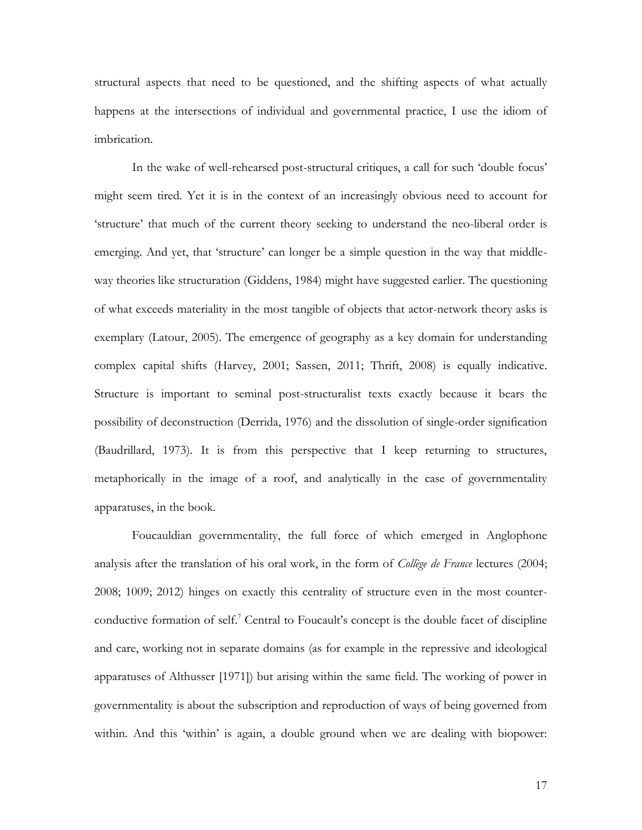structural aspects that need to be questioned, and the shifting aspects of what actually happens at the intersections of individual and governmental practice, I use the idiom of imbrication.

In the wake of well-rehearsed post-structural critiques, a call for such 'double focus' might seem tired. Yet it is in the context of an increasingly obvious need to account for 'structure' that much of the current theory seeking to understand the neo-liberal order is emerging. And yet, that 'structure' can longer be a simple question in the way that middleway theories like structuration (Giddens, 1984) might have suggested earlier. The questioning of what exceeds materiality in the most tangible of objects that actor-network theory asks is exemplary (Latour, 2005). The emergence of geography as a key domain for understanding complex capital shifts (Harvey, 2001; Sassen, 2011; Thrift, 2008) is equally indicative. Structure is important to seminal post-structuralist texts exactly because it bears the possibility of deconstruction (Derrida, 1976) and the dissolution of single-order signification (Baudrillard, 1973). It is from this perspective that I keep returning to structures, metaphorically in the image of a roof, and analytically in the case of governmentality apparatuses, in the book.

Foucauldian governmentality, the full force of which emerged in Anglophone analysis after the translation of his oral work, in the form of *Collège de France* lectures (2004; 2008; 1009; 2012) hinges on exactly this centrality of structure even in the most counterconductive formation of self.<sup>7</sup> Central to Foucault's concept is the double facet of discipline and care, working not in separate domains (as for example in the repressive and ideological apparatuses of Althusser [1971]) but arising within the same field. The working of power in governmentality is about the subscription and reproduction of ways of being governed from within. And this 'within' is again, a double ground when we are dealing with biopower: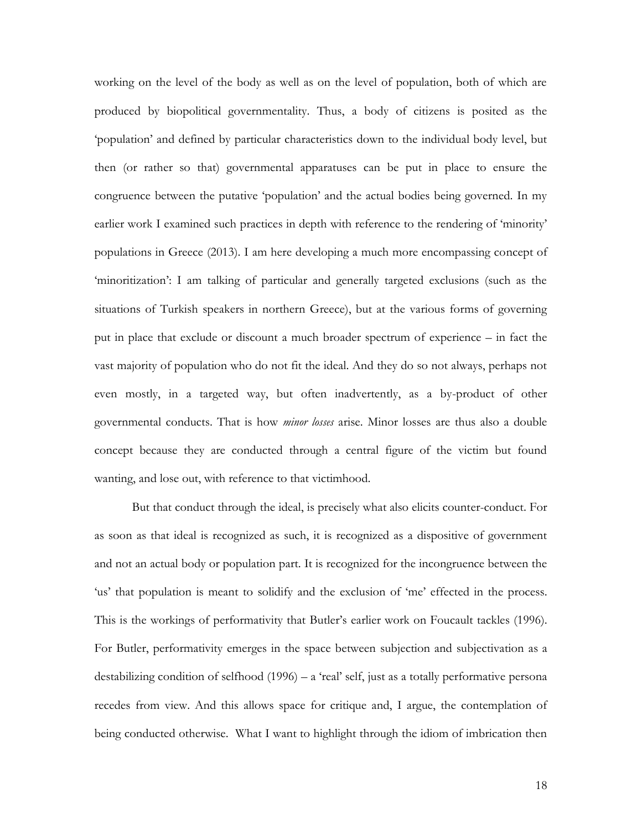working on the level of the body as well as on the level of population, both of which are produced by biopolitical governmentality. Thus, a body of citizens is posited as the 'population' and defined by particular characteristics down to the individual body level, but then (or rather so that) governmental apparatuses can be put in place to ensure the congruence between the putative 'population' and the actual bodies being governed. In my earlier work I examined such practices in depth with reference to the rendering of 'minority' populations in Greece (2013). I am here developing a much more encompassing concept of 'minoritization': I am talking of particular and generally targeted exclusions (such as the situations of Turkish speakers in northern Greece), but at the various forms of governing put in place that exclude or discount a much broader spectrum of experience – in fact the vast majority of population who do not fit the ideal. And they do so not always, perhaps not even mostly, in a targeted way, but often inadvertently, as a by-product of other governmental conducts. That is how *minor losses* arise. Minor losses are thus also a double concept because they are conducted through a central figure of the victim but found wanting, and lose out, with reference to that victimhood.

But that conduct through the ideal, is precisely what also elicits counter-conduct. For as soon as that ideal is recognized as such, it is recognized as a dispositive of government and not an actual body or population part. It is recognized for the incongruence between the 'us' that population is meant to solidify and the exclusion of 'me' effected in the process. This is the workings of performativity that Butler's earlier work on Foucault tackles (1996). For Butler, performativity emerges in the space between subjection and subjectivation as a destabilizing condition of selfhood  $(1996) - a$  'real' self, just as a totally performative persona recedes from view. And this allows space for critique and, I argue, the contemplation of being conducted otherwise. What I want to highlight through the idiom of imbrication then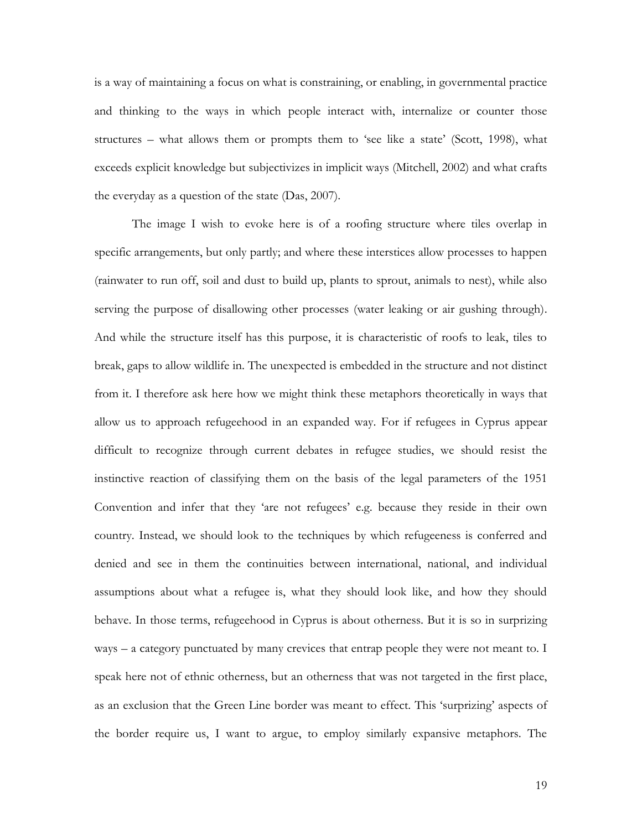is a way of maintaining a focus on what is constraining, or enabling, in governmental practice and thinking to the ways in which people interact with, internalize or counter those structures – what allows them or prompts them to 'see like a state' (Scott, 1998), what exceeds explicit knowledge but subjectivizes in implicit ways (Mitchell, 2002) and what crafts the everyday as a question of the state (Das, 2007).

The image I wish to evoke here is of a roofing structure where tiles overlap in specific arrangements, but only partly; and where these interstices allow processes to happen (rainwater to run off, soil and dust to build up, plants to sprout, animals to nest), while also serving the purpose of disallowing other processes (water leaking or air gushing through). And while the structure itself has this purpose, it is characteristic of roofs to leak, tiles to break, gaps to allow wildlife in. The unexpected is embedded in the structure and not distinct from it. I therefore ask here how we might think these metaphors theoretically in ways that allow us to approach refugeehood in an expanded way. For if refugees in Cyprus appear difficult to recognize through current debates in refugee studies, we should resist the instinctive reaction of classifying them on the basis of the legal parameters of the 1951 Convention and infer that they 'are not refugees' e.g. because they reside in their own country. Instead, we should look to the techniques by which refugeeness is conferred and denied and see in them the continuities between international, national, and individual assumptions about what a refugee is, what they should look like, and how they should behave. In those terms, refugeehood in Cyprus is about otherness. But it is so in surprizing ways – a category punctuated by many crevices that entrap people they were not meant to. I speak here not of ethnic otherness, but an otherness that was not targeted in the first place, as an exclusion that the Green Line border was meant to effect. This 'surprizing' aspects of the border require us, I want to argue, to employ similarly expansive metaphors. The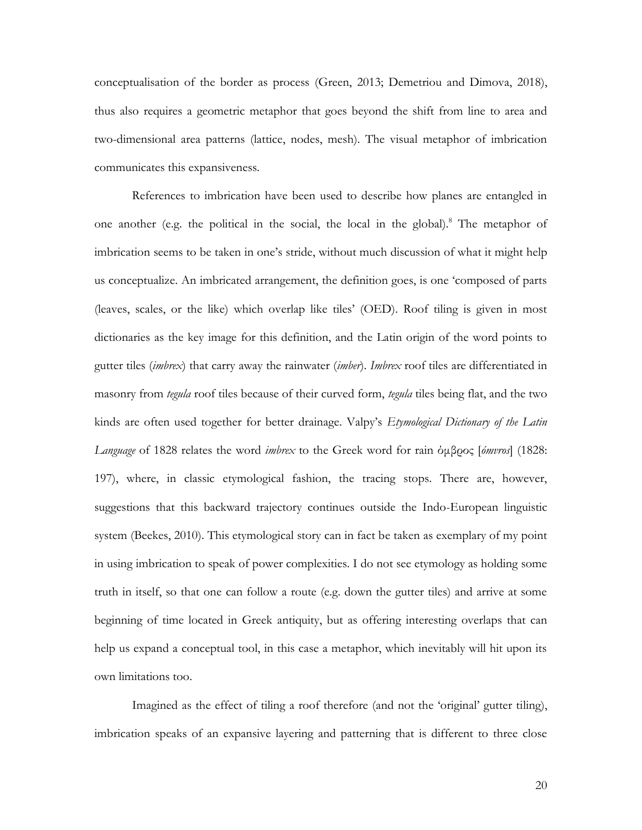conceptualisation of the border as process (Green, 2013; Demetriou and Dimova, 2018), thus also requires a geometric metaphor that goes beyond the shift from line to area and two-dimensional area patterns (lattice, nodes, mesh). The visual metaphor of imbrication communicates this expansiveness.

References to imbrication have been used to describe how planes are entangled in one another (e.g. the political in the social, the local in the global).<sup>8</sup> The metaphor of imbrication seems to be taken in one's stride, without much discussion of what it might help us conceptualize. An imbricated arrangement, the definition goes, is one 'composed of parts (leaves, scales, or the like) which overlap like tiles' (OED). Roof tiling is given in most dictionaries as the key image for this definition, and the Latin origin of the word points to gutter tiles (*imbrex*) that carry away the rainwater (*imber*). *Imbrex* roof tiles are differentiated in masonry from *tegula* roof tiles because of their curved form, *tegula* tiles being flat, and the two kinds are often used together for better drainage. Valpy's *Etymological Dictionary of the Latin Language* of 1828 relates the word *imbrex* to the Greek word for rain όμβρος [*ómvros*] (1828: 197), where, in classic etymological fashion, the tracing stops. There are, however, suggestions that this backward trajectory continues outside the Indo-European linguistic system (Beekes, 2010). This etymological story can in fact be taken as exemplary of my point in using imbrication to speak of power complexities. I do not see etymology as holding some truth in itself, so that one can follow a route (e.g. down the gutter tiles) and arrive at some beginning of time located in Greek antiquity, but as offering interesting overlaps that can help us expand a conceptual tool, in this case a metaphor, which inevitably will hit upon its own limitations too.

Imagined as the effect of tiling a roof therefore (and not the 'original' gutter tiling), imbrication speaks of an expansive layering and patterning that is different to three close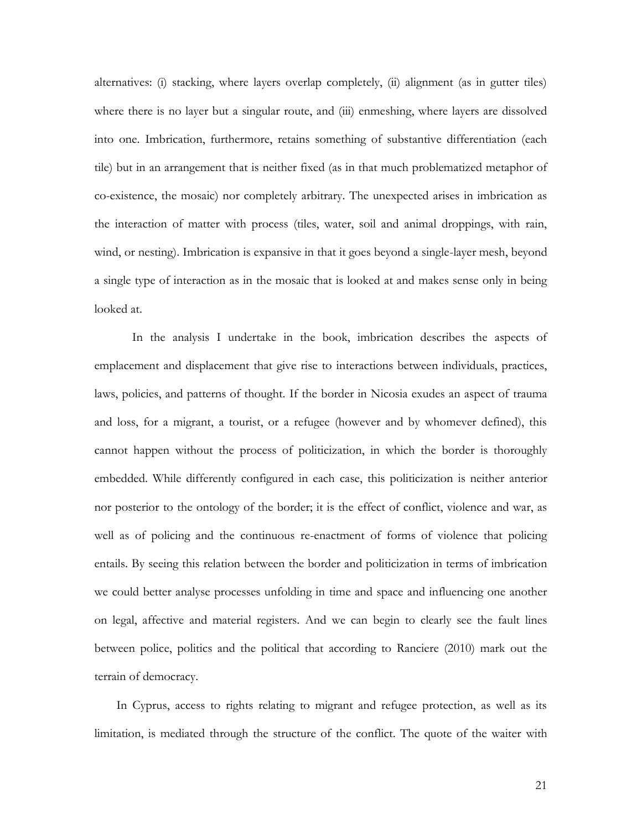alternatives: (i) stacking, where layers overlap completely, (ii) alignment (as in gutter tiles) where there is no layer but a singular route, and (iii) enmeshing, where layers are dissolved into one. Imbrication, furthermore, retains something of substantive differentiation (each tile) but in an arrangement that is neither fixed (as in that much problematized metaphor of co-existence, the mosaic) nor completely arbitrary. The unexpected arises in imbrication as the interaction of matter with process (tiles, water, soil and animal droppings, with rain, wind, or nesting). Imbrication is expansive in that it goes beyond a single-layer mesh, beyond a single type of interaction as in the mosaic that is looked at and makes sense only in being looked at.

In the analysis I undertake in the book, imbrication describes the aspects of emplacement and displacement that give rise to interactions between individuals, practices, laws, policies, and patterns of thought. If the border in Nicosia exudes an aspect of trauma and loss, for a migrant, a tourist, or a refugee (however and by whomever defined), this cannot happen without the process of politicization, in which the border is thoroughly embedded. While differently configured in each case, this politicization is neither anterior nor posterior to the ontology of the border; it is the effect of conflict, violence and war, as well as of policing and the continuous re-enactment of forms of violence that policing entails. By seeing this relation between the border and politicization in terms of imbrication we could better analyse processes unfolding in time and space and influencing one another on legal, affective and material registers. And we can begin to clearly see the fault lines between police, politics and the political that according to Ranciere (2010) mark out the terrain of democracy.

In Cyprus, access to rights relating to migrant and refugee protection, as well as its limitation, is mediated through the structure of the conflict. The quote of the waiter with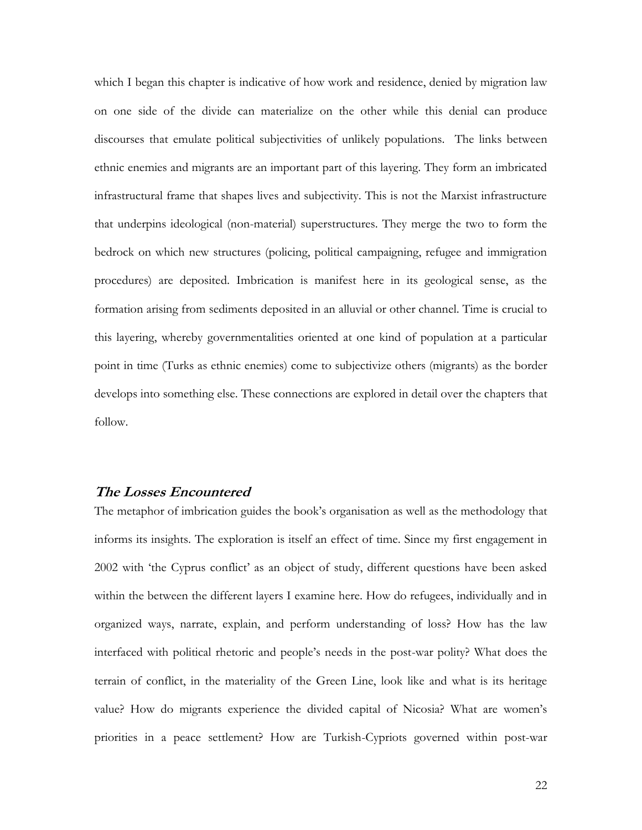which I began this chapter is indicative of how work and residence, denied by migration law on one side of the divide can materialize on the other while this denial can produce discourses that emulate political subjectivities of unlikely populations. The links between ethnic enemies and migrants are an important part of this layering. They form an imbricated infrastructural frame that shapes lives and subjectivity. This is not the Marxist infrastructure that underpins ideological (non-material) superstructures. They merge the two to form the bedrock on which new structures (policing, political campaigning, refugee and immigration procedures) are deposited. Imbrication is manifest here in its geological sense, as the formation arising from sediments deposited in an alluvial or other channel. Time is crucial to this layering, whereby governmentalities oriented at one kind of population at a particular point in time (Turks as ethnic enemies) come to subjectivize others (migrants) as the border develops into something else. These connections are explored in detail over the chapters that follow.

## **The Losses Encountered**

The metaphor of imbrication guides the book's organisation as well as the methodology that informs its insights. The exploration is itself an effect of time. Since my first engagement in 2002 with 'the Cyprus conflict' as an object of study, different questions have been asked within the between the different layers I examine here. How do refugees, individually and in organized ways, narrate, explain, and perform understanding of loss? How has the law interfaced with political rhetoric and people's needs in the post-war polity? What does the terrain of conflict, in the materiality of the Green Line, look like and what is its heritage value? How do migrants experience the divided capital of Nicosia? What are women's priorities in a peace settlement? How are Turkish-Cypriots governed within post-war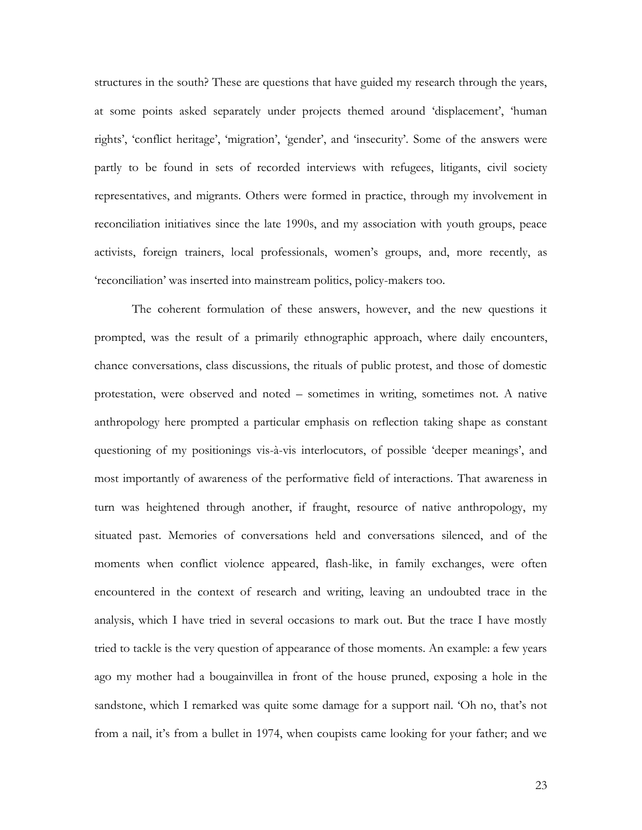structures in the south? These are questions that have guided my research through the years, at some points asked separately under projects themed around 'displacement', 'human rights', 'conflict heritage', 'migration', 'gender', and 'insecurity'. Some of the answers were partly to be found in sets of recorded interviews with refugees, litigants, civil society representatives, and migrants. Others were formed in practice, through my involvement in reconciliation initiatives since the late 1990s, and my association with youth groups, peace activists, foreign trainers, local professionals, women's groups, and, more recently, as 'reconciliation' was inserted into mainstream politics, policy-makers too.

The coherent formulation of these answers, however, and the new questions it prompted, was the result of a primarily ethnographic approach, where daily encounters, chance conversations, class discussions, the rituals of public protest, and those of domestic protestation, were observed and noted – sometimes in writing, sometimes not. A native anthropology here prompted a particular emphasis on reflection taking shape as constant questioning of my positionings vis-à-vis interlocutors, of possible 'deeper meanings', and most importantly of awareness of the performative field of interactions. That awareness in turn was heightened through another, if fraught, resource of native anthropology, my situated past. Memories of conversations held and conversations silenced, and of the moments when conflict violence appeared, flash-like, in family exchanges, were often encountered in the context of research and writing, leaving an undoubted trace in the analysis, which I have tried in several occasions to mark out. But the trace I have mostly tried to tackle is the very question of appearance of those moments. An example: a few years ago my mother had a bougainvillea in front of the house pruned, exposing a hole in the sandstone, which I remarked was quite some damage for a support nail. 'Oh no, that's not from a nail, it's from a bullet in 1974, when coupists came looking for your father; and we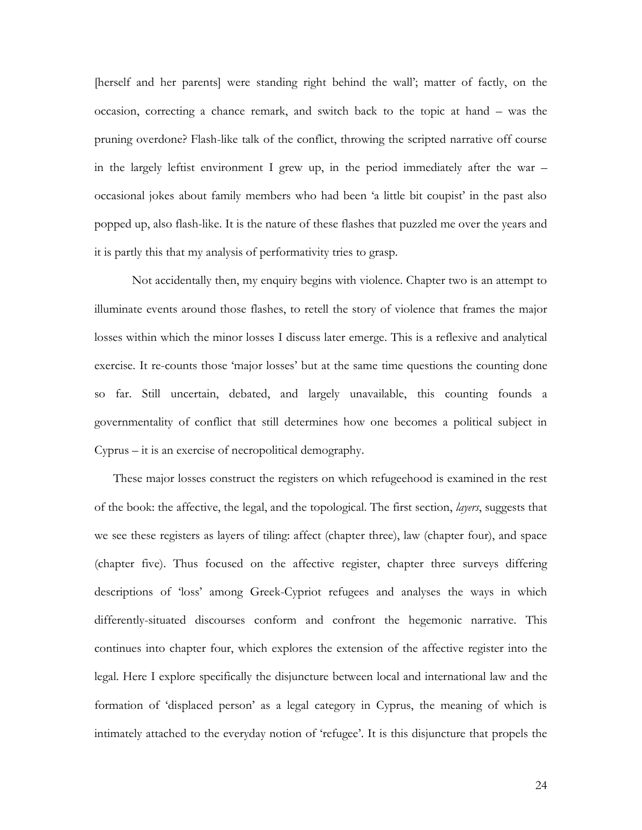[herself and her parents] were standing right behind the wall'; matter of factly, on the occasion, correcting a chance remark, and switch back to the topic at hand – was the pruning overdone? Flash-like talk of the conflict, throwing the scripted narrative off course in the largely leftist environment I grew up, in the period immediately after the war – occasional jokes about family members who had been 'a little bit coupist' in the past also popped up, also flash-like. It is the nature of these flashes that puzzled me over the years and it is partly this that my analysis of performativity tries to grasp.

Not accidentally then, my enquiry begins with violence. Chapter two is an attempt to illuminate events around those flashes, to retell the story of violence that frames the major losses within which the minor losses I discuss later emerge. This is a reflexive and analytical exercise. It re-counts those 'major losses' but at the same time questions the counting done so far. Still uncertain, debated, and largely unavailable, this counting founds a governmentality of conflict that still determines how one becomes a political subject in Cyprus – it is an exercise of necropolitical demography.

These major losses construct the registers on which refugeehood is examined in the rest of the book: the affective, the legal, and the topological. The first section, *layers*, suggests that we see these registers as layers of tiling: affect (chapter three), law (chapter four), and space (chapter five). Thus focused on the affective register, chapter three surveys differing descriptions of 'loss' among Greek-Cypriot refugees and analyses the ways in which differently-situated discourses conform and confront the hegemonic narrative. This continues into chapter four, which explores the extension of the affective register into the legal. Here I explore specifically the disjuncture between local and international law and the formation of 'displaced person' as a legal category in Cyprus, the meaning of which is intimately attached to the everyday notion of 'refugee'. It is this disjuncture that propels the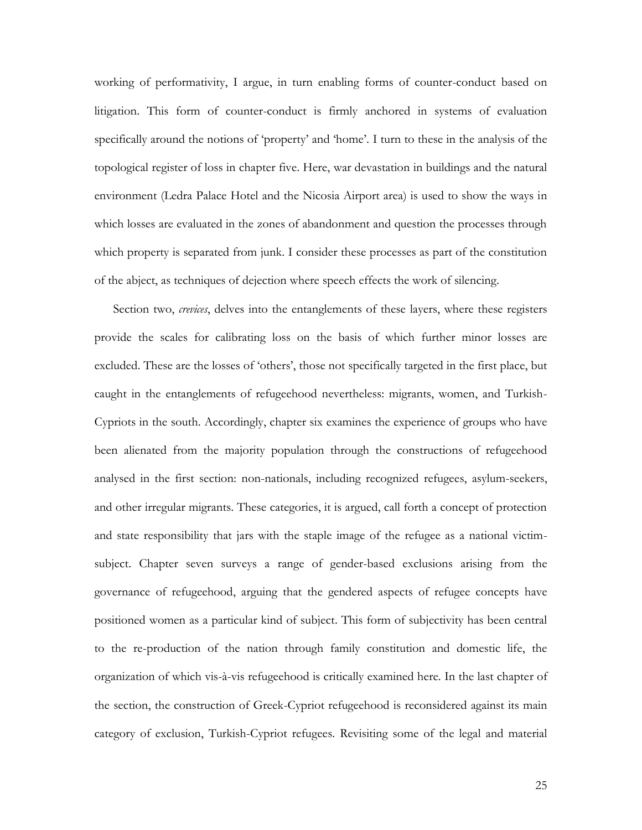working of performativity, I argue, in turn enabling forms of counter-conduct based on litigation. This form of counter-conduct is firmly anchored in systems of evaluation specifically around the notions of 'property' and 'home'. I turn to these in the analysis of the topological register of loss in chapter five. Here, war devastation in buildings and the natural environment (Ledra Palace Hotel and the Nicosia Airport area) is used to show the ways in which losses are evaluated in the zones of abandonment and question the processes through which property is separated from junk. I consider these processes as part of the constitution of the abject, as techniques of dejection where speech effects the work of silencing.

Section two, *crevices*, delves into the entanglements of these layers, where these registers provide the scales for calibrating loss on the basis of which further minor losses are excluded. These are the losses of 'others', those not specifically targeted in the first place, but caught in the entanglements of refugeehood nevertheless: migrants, women, and Turkish-Cypriots in the south. Accordingly, chapter six examines the experience of groups who have been alienated from the majority population through the constructions of refugeehood analysed in the first section: non-nationals, including recognized refugees, asylum-seekers, and other irregular migrants. These categories, it is argued, call forth a concept of protection and state responsibility that jars with the staple image of the refugee as a national victimsubject. Chapter seven surveys a range of gender-based exclusions arising from the governance of refugeehood, arguing that the gendered aspects of refugee concepts have positioned women as a particular kind of subject. This form of subjectivity has been central to the re-production of the nation through family constitution and domestic life, the organization of which vis-à-vis refugeehood is critically examined here. In the last chapter of the section, the construction of Greek-Cypriot refugeehood is reconsidered against its main category of exclusion, Turkish-Cypriot refugees. Revisiting some of the legal and material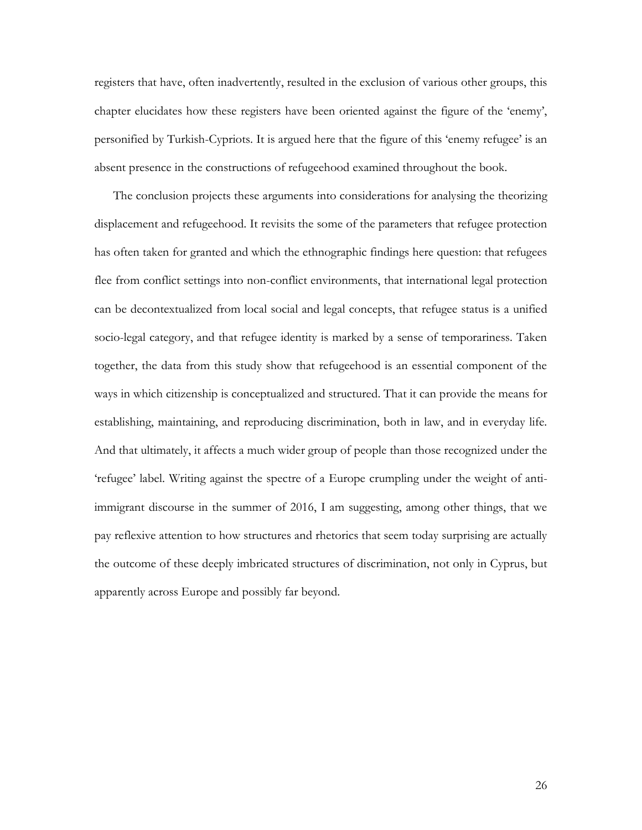registers that have, often inadvertently, resulted in the exclusion of various other groups, this chapter elucidates how these registers have been oriented against the figure of the 'enemy', personified by Turkish-Cypriots. It is argued here that the figure of this 'enemy refugee' is an absent presence in the constructions of refugeehood examined throughout the book.

The conclusion projects these arguments into considerations for analysing the theorizing displacement and refugeehood. It revisits the some of the parameters that refugee protection has often taken for granted and which the ethnographic findings here question: that refugees flee from conflict settings into non-conflict environments, that international legal protection can be decontextualized from local social and legal concepts, that refugee status is a unified socio-legal category, and that refugee identity is marked by a sense of temporariness. Taken together, the data from this study show that refugeehood is an essential component of the ways in which citizenship is conceptualized and structured. That it can provide the means for establishing, maintaining, and reproducing discrimination, both in law, and in everyday life. And that ultimately, it affects a much wider group of people than those recognized under the 'refugee' label. Writing against the spectre of a Europe crumpling under the weight of antiimmigrant discourse in the summer of 2016, I am suggesting, among other things, that we pay reflexive attention to how structures and rhetorics that seem today surprising are actually the outcome of these deeply imbricated structures of discrimination, not only in Cyprus, but apparently across Europe and possibly far beyond.